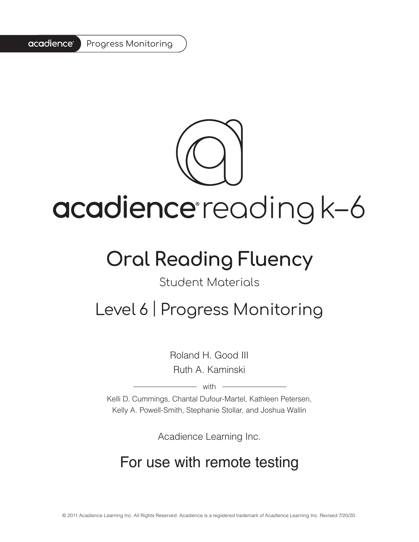#### acadience<sup>®</sup> Progress Monitoring



# acadience reading k-6

## **Oral Reading Fluency**

#### Student Materials

### Level 6 | Progress Monitoring

Roland H. Good III Ruth A. Kaminski

– with -

Kelli D. Cummings, Chantal Dufour-Martel, Kathleen Petersen, Kelly A. Powell-Smith, Stephanie Stollar, and Joshua Wallin

Acadience Learning Inc.

### For use with remote testing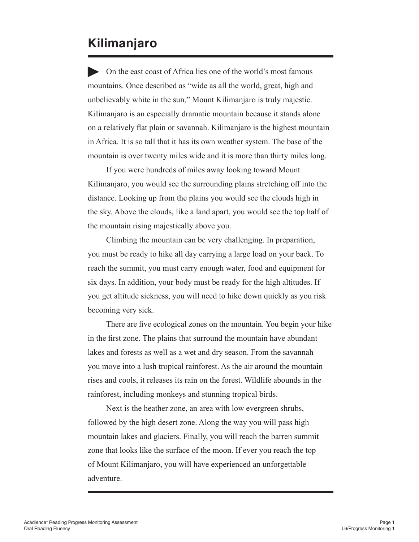#### **Kilimanjaro**

On the east coast of Africa lies one of the world's most famous mountains. Once described as "wide as all the world, great, high and unbelievably white in the sun," Mount Kilimanjaro is truly majestic. Kilimanjaro is an especially dramatic mountain because it stands alone on a relatively flat plain or savannah. Kilimanjaro is the highest mountain in Africa. It is so tall that it has its own weather system. The base of the mountain is over twenty miles wide and it is more than thirty miles long.

If you were hundreds of miles away looking toward Mount Kilimanjaro, you would see the surrounding plains stretching off into the distance. Looking up from the plains you would see the clouds high in the sky. Above the clouds, like a land apart, you would see the top half of the mountain rising majestically above you.

Climbing the mountain can be very challenging. In preparation, you must be ready to hike all day carrying a large load on your back. To reach the summit, you must carry enough water, food and equipment for six days. In addition, your body must be ready for the high altitudes. If you get altitude sickness, you will need to hike down quickly as you risk becoming very sick.

There are five ecological zones on the mountain. You begin your hike in the first zone. The plains that surround the mountain have abundant lakes and forests as well as a wet and dry season. From the savannah you move into a lush tropical rainforest. As the air around the mountain rises and cools, it releases its rain on the forest. Wildlife abounds in the rainforest, including monkeys and stunning tropical birds.

Next is the heather zone, an area with low evergreen shrubs, followed by the high desert zone. Along the way you will pass high mountain lakes and glaciers. Finally, you will reach the barren summit zone that looks like the surface of the moon. If ever you reach the top of Mount Kilimanjaro, you will have experienced an unforgettable adventure.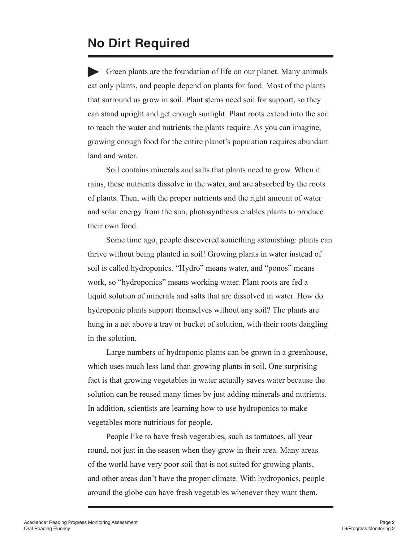#### **No Dirt Required**

Green plants are the foundation of life on our planet. Many animals eat only plants, and people depend on plants for food. Most of the plants that surround us grow in soil. Plant stems need soil for support, so they can stand upright and get enough sunlight. Plant roots extend into the soil to reach the water and nutrients the plants require. As you can imagine, growing enough food for the entire planet's population requires abundant land and water.

Soil contains minerals and salts that plants need to grow. When it rains, these nutrients dissolve in the water, and are absorbed by the roots of plants. Then, with the proper nutrients and the right amount of water and solar energy from the sun, photosynthesis enables plants to produce their own food.

Some time ago, people discovered something astonishing: plants can thrive without being planted in soil! Growing plants in water instead of soil is called hydroponics. "Hydro" means water, and "ponos" means work, so "hydroponics" means working water. Plant roots are fed a liquid solution of minerals and salts that are dissolved in water. How do hydroponic plants support themselves without any soil? The plants are hung in a net above a tray or bucket of solution, with their roots dangling in the solution.

Large numbers of hydroponic plants can be grown in a greenhouse, which uses much less land than growing plants in soil. One surprising fact is that growing vegetables in water actually saves water because the solution can be reused many times by just adding minerals and nutrients. In addition, scientists are learning how to use hydroponics to make vegetables more nutritious for people.

People like to have fresh vegetables, such as tomatoes, all year round, not just in the season when they grow in their area. Many areas of the world have very poor soil that is not suited for growing plants, and other areas don't have the proper climate. With hydroponics, people around the globe can have fresh vegetables whenever they want them.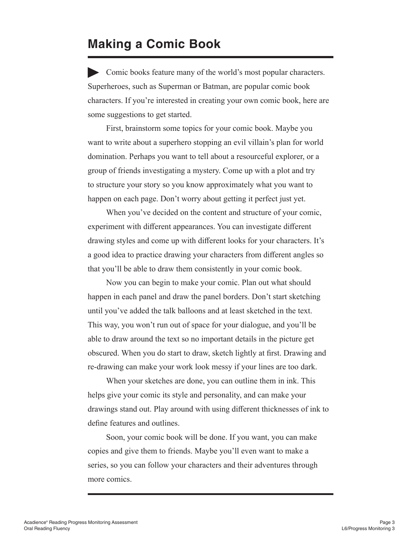#### **Making a Comic Book**

Comic books feature many of the world's most popular characters. Superheroes, such as Superman or Batman, are popular comic book characters. If you're interested in creating your own comic book, here are some suggestions to get started.

First, brainstorm some topics for your comic book. Maybe you want to write about a superhero stopping an evil villain's plan for world domination. Perhaps you want to tell about a resourceful explorer, or a group of friends investigating a mystery. Come up with a plot and try to structure your story so you know approximately what you want to happen on each page. Don't worry about getting it perfect just yet.

When you've decided on the content and structure of your comic, experiment with different appearances. You can investigate different drawing styles and come up with different looks for your characters. It's a good idea to practice drawing your characters from different angles so that you'll be able to draw them consistently in your comic book.

Now you can begin to make your comic. Plan out what should happen in each panel and draw the panel borders. Don't start sketching until you've added the talk balloons and at least sketched in the text. This way, you won't run out of space for your dialogue, and you'll be able to draw around the text so no important details in the picture get obscured. When you do start to draw, sketch lightly at first. Drawing and re-drawing can make your work look messy if your lines are too dark.

When your sketches are done, you can outline them in ink. This helps give your comic its style and personality, and can make your drawings stand out. Play around with using different thicknesses of ink to define features and outlines.

Soon, your comic book will be done. If you want, you can make copies and give them to friends. Maybe you'll even want to make a series, so you can follow your characters and their adventures through more comics.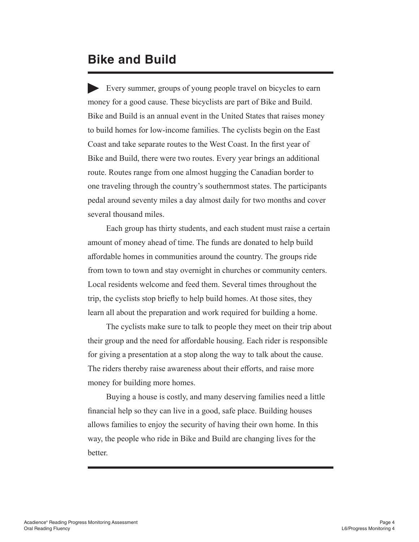#### **Bike and Build**

Every summer, groups of young people travel on bicycles to earn money for a good cause. These bicyclists are part of Bike and Build. Bike and Build is an annual event in the United States that raises money to build homes for low-income families. The cyclists begin on the East Coast and take separate routes to the West Coast. In the first year of Bike and Build, there were two routes. Every year brings an additional route. Routes range from one almost hugging the Canadian border to one traveling through the country's southernmost states. The participants pedal around seventy miles a day almost daily for two months and cover several thousand miles.

Each group has thirty students, and each student must raise a certain amount of money ahead of time. The funds are donated to help build affordable homes in communities around the country. The groups ride from town to town and stay overnight in churches or community centers. Local residents welcome and feed them. Several times throughout the trip, the cyclists stop briefly to help build homes. At those sites, they learn all about the preparation and work required for building a home.

The cyclists make sure to talk to people they meet on their trip about their group and the need for affordable housing. Each rider is responsible for giving a presentation at a stop along the way to talk about the cause. The riders thereby raise awareness about their efforts, and raise more money for building more homes.

Buying a house is costly, and many deserving families need a little financial help so they can live in a good, safe place. Building houses allows families to enjoy the security of having their own home. In this way, the people who ride in Bike and Build are changing lives for the better.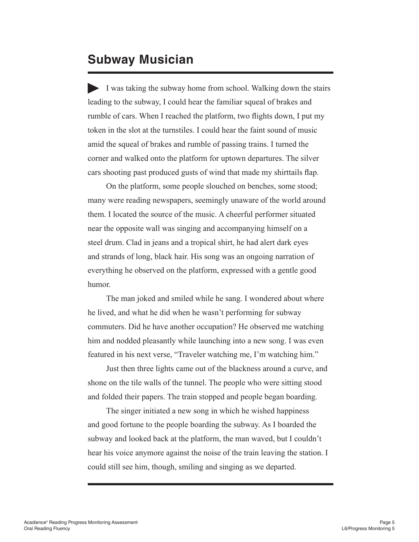#### **Subway Musician**

I was taking the subway home from school. Walking down the stairs leading to the subway, I could hear the familiar squeal of brakes and rumble of cars. When I reached the platform, two flights down, I put my token in the slot at the turnstiles. I could hear the faint sound of music amid the squeal of brakes and rumble of passing trains. I turned the corner and walked onto the platform for uptown departures. The silver cars shooting past produced gusts of wind that made my shirttails flap.

On the platform, some people slouched on benches, some stood; many were reading newspapers, seemingly unaware of the world around them. I located the source of the music. A cheerful performer situated near the opposite wall was singing and accompanying himself on a steel drum. Clad in jeans and a tropical shirt, he had alert dark eyes and strands of long, black hair. His song was an ongoing narration of everything he observed on the platform, expressed with a gentle good humor.

The man joked and smiled while he sang. I wondered about where he lived, and what he did when he wasn't performing for subway commuters. Did he have another occupation? He observed me watching him and nodded pleasantly while launching into a new song. I was even featured in his next verse, "Traveler watching me, I'm watching him."

Just then three lights came out of the blackness around a curve, and shone on the tile walls of the tunnel. The people who were sitting stood and folded their papers. The train stopped and people began boarding.

The singer initiated a new song in which he wished happiness and good fortune to the people boarding the subway. As I boarded the subway and looked back at the platform, the man waved, but I couldn't hear his voice anymore against the noise of the train leaving the station. I could still see him, though, smiling and singing as we departed.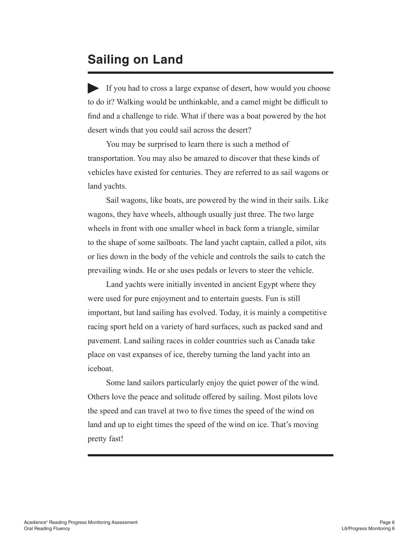#### **Sailing on Land**

If you had to cross a large expanse of desert, how would you choose to do it? Walking would be unthinkable, and a camel might be difficult to find and a challenge to ride. What if there was a boat powered by the hot desert winds that you could sail across the desert?

You may be surprised to learn there is such a method of transportation. You may also be amazed to discover that these kinds of vehicles have existed for centuries. They are referred to as sail wagons or land yachts.

Sail wagons, like boats, are powered by the wind in their sails. Like wagons, they have wheels, although usually just three. The two large wheels in front with one smaller wheel in back form a triangle, similar to the shape of some sailboats. The land yacht captain, called a pilot, sits or lies down in the body of the vehicle and controls the sails to catch the prevailing winds. He or she uses pedals or levers to steer the vehicle.

Land yachts were initially invented in ancient Egypt where they were used for pure enjoyment and to entertain guests. Fun is still important, but land sailing has evolved. Today, it is mainly a competitive racing sport held on a variety of hard surfaces, such as packed sand and pavement. Land sailing races in colder countries such as Canada take place on vast expanses of ice, thereby turning the land yacht into an iceboat.

Some land sailors particularly enjoy the quiet power of the wind. Others love the peace and solitude offered by sailing. Most pilots love the speed and can travel at two to five times the speed of the wind on land and up to eight times the speed of the wind on ice. That's moving pretty fast!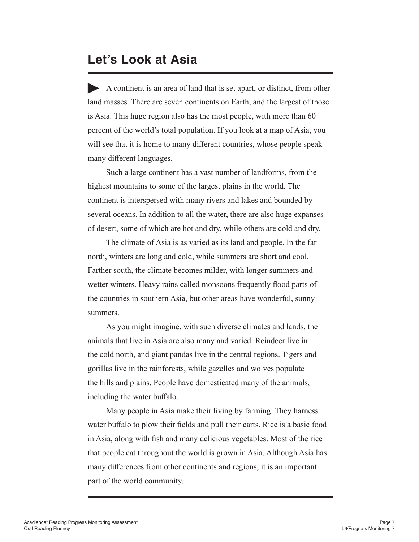#### **Let's Look at Asia**

A continent is an area of land that is set apart, or distinct, from other land masses. There are seven continents on Earth, and the largest of those is Asia. This huge region also has the most people, with more than 60 percent of the world's total population. If you look at a map of Asia, you will see that it is home to many different countries, whose people speak many different languages.

Such a large continent has a vast number of landforms, from the highest mountains to some of the largest plains in the world. The continent is interspersed with many rivers and lakes and bounded by several oceans. In addition to all the water, there are also huge expanses of desert, some of which are hot and dry, while others are cold and dry.

The climate of Asia is as varied as its land and people. In the far north, winters are long and cold, while summers are short and cool. Farther south, the climate becomes milder, with longer summers and wetter winters. Heavy rains called monsoons frequently flood parts of the countries in southern Asia, but other areas have wonderful, sunny summers.

As you might imagine, with such diverse climates and lands, the animals that live in Asia are also many and varied. Reindeer live in the cold north, and giant pandas live in the central regions. Tigers and gorillas live in the rainforests, while gazelles and wolves populate the hills and plains. People have domesticated many of the animals, including the water buffalo.

Many people in Asia make their living by farming. They harness water buffalo to plow their fields and pull their carts. Rice is a basic food in Asia, along with fish and many delicious vegetables. Most of the rice that people eat throughout the world is grown in Asia. Although Asia has many differences from other continents and regions, it is an important part of the world community.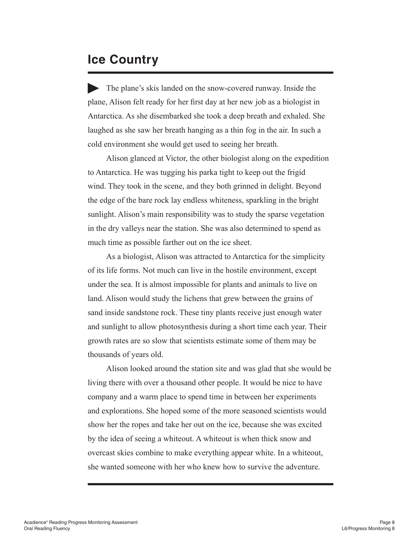#### **Ice Country**

The plane's skis landed on the snow-covered runway. Inside the plane, Alison felt ready for her first day at her new job as a biologist in Antarctica. As she disembarked she took a deep breath and exhaled. She laughed as she saw her breath hanging as a thin fog in the air. In such a cold environment she would get used to seeing her breath.

Alison glanced at Victor, the other biologist along on the expedition to Antarctica. He was tugging his parka tight to keep out the frigid wind. They took in the scene, and they both grinned in delight. Beyond the edge of the bare rock lay endless whiteness, sparkling in the bright sunlight. Alison's main responsibility was to study the sparse vegetation in the dry valleys near the station. She was also determined to spend as much time as possible farther out on the ice sheet.

As a biologist, Alison was attracted to Antarctica for the simplicity of its life forms. Not much can live in the hostile environment, except under the sea. It is almost impossible for plants and animals to live on land. Alison would study the lichens that grew between the grains of sand inside sandstone rock. These tiny plants receive just enough water and sunlight to allow photosynthesis during a short time each year. Their growth rates are so slow that scientists estimate some of them may be thousands of years old.

Alison looked around the station site and was glad that she would be living there with over a thousand other people. It would be nice to have company and a warm place to spend time in between her experiments and explorations. She hoped some of the more seasoned scientists would show her the ropes and take her out on the ice, because she was excited by the idea of seeing a whiteout. A whiteout is when thick snow and overcast skies combine to make everything appear white. In a whiteout, she wanted someone with her who knew how to survive the adventure.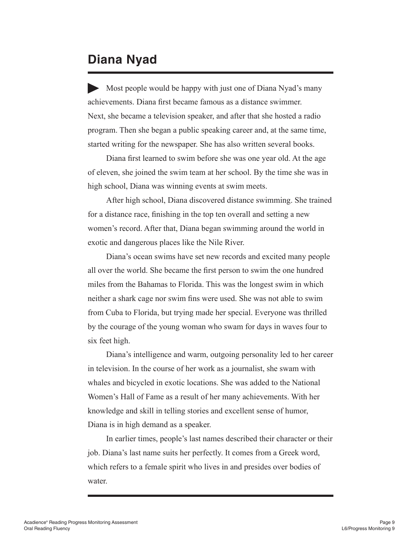#### **Diana Nyad**

Most people would be happy with just one of Diana Nyad's many achievements. Diana first became famous as a distance swimmer. Next, she became a television speaker, and after that she hosted a radio program. Then she began a public speaking career and, at the same time, started writing for the newspaper. She has also written several books.

Diana first learned to swim before she was one year old. At the age of eleven, she joined the swim team at her school. By the time she was in high school, Diana was winning events at swim meets.

After high school, Diana discovered distance swimming. She trained for a distance race, finishing in the top ten overall and setting a new women's record. After that, Diana began swimming around the world in exotic and dangerous places like the Nile River.

Diana's ocean swims have set new records and excited many people all over the world. She became the first person to swim the one hundred miles from the Bahamas to Florida. This was the longest swim in which neither a shark cage nor swim fins were used. She was not able to swim from Cuba to Florida, but trying made her special. Everyone was thrilled by the courage of the young woman who swam for days in waves four to six feet high.

Diana's intelligence and warm, outgoing personality led to her career in television. In the course of her work as a journalist, she swam with whales and bicycled in exotic locations. She was added to the National Women's Hall of Fame as a result of her many achievements. With her knowledge and skill in telling stories and excellent sense of humor, Diana is in high demand as a speaker.

In earlier times, people's last names described their character or their job. Diana's last name suits her perfectly. It comes from a Greek word, which refers to a female spirit who lives in and presides over bodies of water.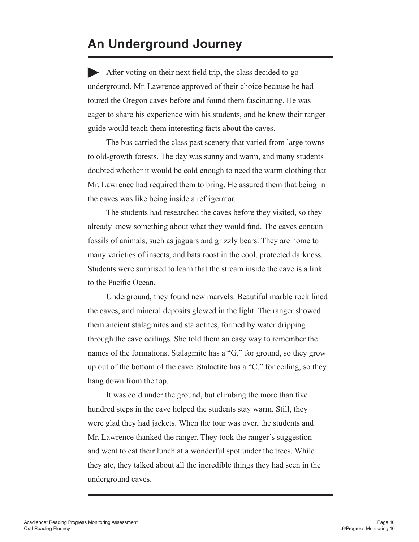#### **An Underground Journey**

After voting on their next field trip, the class decided to go underground. Mr. Lawrence approved of their choice because he had toured the Oregon caves before and found them fascinating. He was eager to share his experience with his students, and he knew their ranger guide would teach them interesting facts about the caves.

The bus carried the class past scenery that varied from large towns to old-growth forests. The day was sunny and warm, and many students doubted whether it would be cold enough to need the warm clothing that Mr. Lawrence had required them to bring. He assured them that being in the caves was like being inside a refrigerator.

The students had researched the caves before they visited, so they already knew something about what they would find. The caves contain fossils of animals, such as jaguars and grizzly bears. They are home to many varieties of insects, and bats roost in the cool, protected darkness. Students were surprised to learn that the stream inside the cave is a link to the Pacific Ocean.

Underground, they found new marvels. Beautiful marble rock lined the caves, and mineral deposits glowed in the light. The ranger showed them ancient stalagmites and stalactites, formed by water dripping through the cave ceilings. She told them an easy way to remember the names of the formations. Stalagmite has a "G," for ground, so they grow up out of the bottom of the cave. Stalactite has a "C," for ceiling, so they hang down from the top.

It was cold under the ground, but climbing the more than five hundred steps in the cave helped the students stay warm. Still, they were glad they had jackets. When the tour was over, the students and Mr. Lawrence thanked the ranger. They took the ranger's suggestion and went to eat their lunch at a wonderful spot under the trees. While they ate, they talked about all the incredible things they had seen in the underground caves.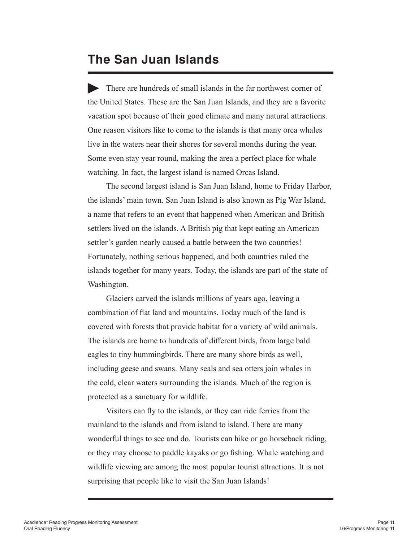#### **The San Juan Islands**

There are hundreds of small islands in the far northwest corner of the United States. These are the San Juan Islands, and they are a favorite vacation spot because of their good climate and many natural attractions. One reason visitors like to come to the islands is that many orca whales live in the waters near their shores for several months during the year. Some even stay year round, making the area a perfect place for whale watching. In fact, the largest island is named Orcas Island.

The second largest island is San Juan Island, home to Friday Harbor, the islands' main town. San Juan Island is also known as Pig War Island, a name that refers to an event that happened when American and British settlers lived on the islands. A British pig that kept eating an American settler's garden nearly caused a battle between the two countries! Fortunately, nothing serious happened, and both countries ruled the islands together for many years. Today, the islands are part of the state of Washington.

Glaciers carved the islands millions of years ago, leaving a combination of flat land and mountains. Today much of the land is covered with forests that provide habitat for a variety of wild animals. The islands are home to hundreds of different birds, from large bald eagles to tiny hummingbirds. There are many shore birds as well, including geese and swans. Many seals and sea otters join whales in the cold, clear waters surrounding the islands. Much of the region is protected as a sanctuary for wildlife.

Visitors can fly to the islands, or they can ride ferries from the mainland to the islands and from island to island. There are many wonderful things to see and do. Tourists can hike or go horseback riding, or they may choose to paddle kayaks or go fishing. Whale watching and wildlife viewing are among the most popular tourist attractions. It is not surprising that people like to visit the San Juan Islands!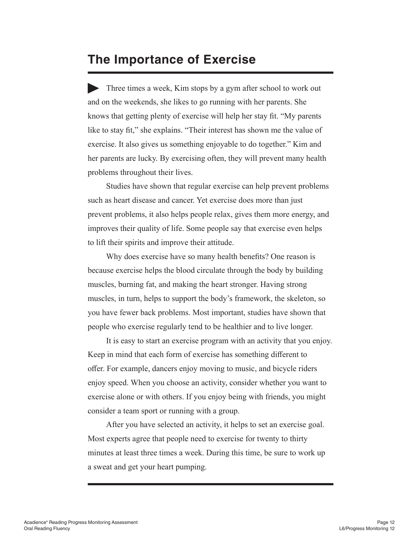#### **The Importance of Exercise**

Three times a week, Kim stops by a gym after school to work out and on the weekends, she likes to go running with her parents. She knows that getting plenty of exercise will help her stay fit. "My parents like to stay fit," she explains. "Their interest has shown me the value of exercise. It also gives us something enjoyable to do together." Kim and her parents are lucky. By exercising often, they will prevent many health problems throughout their lives.

Studies have shown that regular exercise can help prevent problems such as heart disease and cancer. Yet exercise does more than just prevent problems, it also helps people relax, gives them more energy, and improves their quality of life. Some people say that exercise even helps to lift their spirits and improve their attitude.

Why does exercise have so many health benefits? One reason is because exercise helps the blood circulate through the body by building muscles, burning fat, and making the heart stronger. Having strong muscles, in turn, helps to support the body's framework, the skeleton, so you have fewer back problems. Most important, studies have shown that people who exercise regularly tend to be healthier and to live longer.

It is easy to start an exercise program with an activity that you enjoy. Keep in mind that each form of exercise has something different to offer. For example, dancers enjoy moving to music, and bicycle riders enjoy speed. When you choose an activity, consider whether you want to exercise alone or with others. If you enjoy being with friends, you might consider a team sport or running with a group.

After you have selected an activity, it helps to set an exercise goal. Most experts agree that people need to exercise for twenty to thirty minutes at least three times a week. During this time, be sure to work up a sweat and get your heart pumping.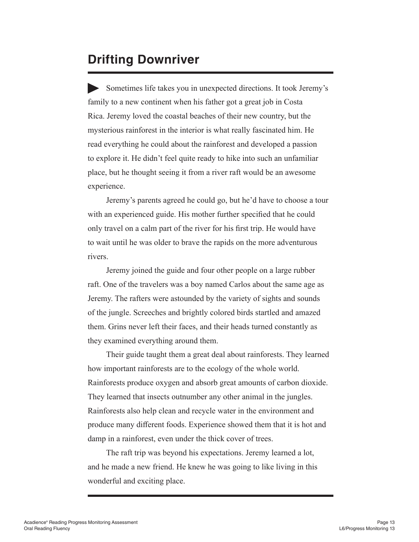#### **Drifting Downriver**

Sometimes life takes you in unexpected directions. It took Jeremy's family to a new continent when his father got a great job in Costa Rica. Jeremy loved the coastal beaches of their new country, but the mysterious rainforest in the interior is what really fascinated him. He read everything he could about the rainforest and developed a passion to explore it. He didn't feel quite ready to hike into such an unfamiliar place, but he thought seeing it from a river raft would be an awesome experience.

Jeremy's parents agreed he could go, but he'd have to choose a tour with an experienced guide. His mother further specified that he could only travel on a calm part of the river for his first trip. He would have to wait until he was older to brave the rapids on the more adventurous rivers.

Jeremy joined the guide and four other people on a large rubber raft. One of the travelers was a boy named Carlos about the same age as Jeremy. The rafters were astounded by the variety of sights and sounds of the jungle. Screeches and brightly colored birds startled and amazed them. Grins never left their faces, and their heads turned constantly as they examined everything around them.

Their guide taught them a great deal about rainforests. They learned how important rainforests are to the ecology of the whole world. Rainforests produce oxygen and absorb great amounts of carbon dioxide. They learned that insects outnumber any other animal in the jungles. Rainforests also help clean and recycle water in the environment and produce many different foods. Experience showed them that it is hot and damp in a rainforest, even under the thick cover of trees.

The raft trip was beyond his expectations. Jeremy learned a lot, and he made a new friend. He knew he was going to like living in this wonderful and exciting place.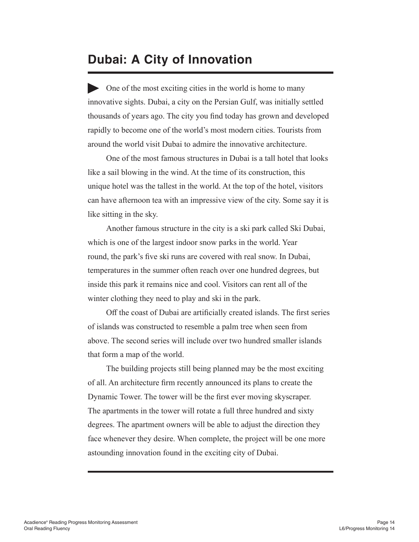#### **Dubai: A City of Innovation**

One of the most exciting cities in the world is home to many innovative sights. Dubai, a city on the Persian Gulf, was initially settled thousands of years ago. The city you find today has grown and developed rapidly to become one of the world's most modern cities. Tourists from around the world visit Dubai to admire the innovative architecture.

One of the most famous structures in Dubai is a tall hotel that looks like a sail blowing in the wind. At the time of its construction, this unique hotel was the tallest in the world. At the top of the hotel, visitors can have afternoon tea with an impressive view of the city. Some say it is like sitting in the sky.

Another famous structure in the city is a ski park called Ski Dubai, which is one of the largest indoor snow parks in the world. Year round, the park's five ski runs are covered with real snow. In Dubai, temperatures in the summer often reach over one hundred degrees, but inside this park it remains nice and cool. Visitors can rent all of the winter clothing they need to play and ski in the park.

Off the coast of Dubai are artificially created islands. The first series of islands was constructed to resemble a palm tree when seen from above. The second series will include over two hundred smaller islands that form a map of the world.

The building projects still being planned may be the most exciting of all. An architecture firm recently announced its plans to create the Dynamic Tower. The tower will be the first ever moving skyscraper. The apartments in the tower will rotate a full three hundred and sixty degrees. The apartment owners will be able to adjust the direction they face whenever they desire. When complete, the project will be one more astounding innovation found in the exciting city of Dubai.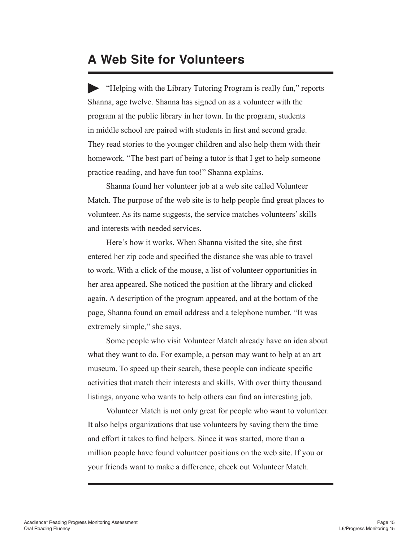#### **A Web Site for Volunteers**

"Helping with the Library Tutoring Program is really fun," reports Shanna, age twelve. Shanna has signed on as a volunteer with the program at the public library in her town. In the program, students in middle school are paired with students in first and second grade. They read stories to the younger children and also help them with their homework. "The best part of being a tutor is that I get to help someone practice reading, and have fun too!" Shanna explains.

Shanna found her volunteer job at a web site called Volunteer Match. The purpose of the web site is to help people find great places to volunteer. As its name suggests, the service matches volunteers' skills and interests with needed services.

Here's how it works. When Shanna visited the site, she first entered her zip code and specified the distance she was able to travel to work. With a click of the mouse, a list of volunteer opportunities in her area appeared. She noticed the position at the library and clicked again. A description of the program appeared, and at the bottom of the page, Shanna found an email address and a telephone number. "It was extremely simple," she says.

Some people who visit Volunteer Match already have an idea about what they want to do. For example, a person may want to help at an art museum. To speed up their search, these people can indicate specific activities that match their interests and skills. With over thirty thousand listings, anyone who wants to help others can find an interesting job.

Volunteer Match is not only great for people who want to volunteer. It also helps organizations that use volunteers by saving them the time and effort it takes to find helpers. Since it was started, more than a million people have found volunteer positions on the web site. If you or your friends want to make a difference, check out Volunteer Match.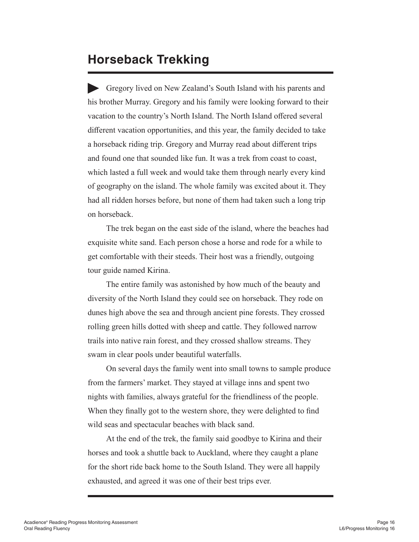#### **Horseback Trekking**

Gregory lived on New Zealand's South Island with his parents and his brother Murray. Gregory and his family were looking forward to their vacation to the country's North Island. The North Island offered several different vacation opportunities, and this year, the family decided to take a horseback riding trip. Gregory and Murray read about different trips and found one that sounded like fun. It was a trek from coast to coast, which lasted a full week and would take them through nearly every kind of geography on the island. The whole family was excited about it. They had all ridden horses before, but none of them had taken such a long trip on horseback.

The trek began on the east side of the island, where the beaches had exquisite white sand. Each person chose a horse and rode for a while to get comfortable with their steeds. Their host was a friendly, outgoing tour guide named Kirina.

The entire family was astonished by how much of the beauty and diversity of the North Island they could see on horseback. They rode on dunes high above the sea and through ancient pine forests. They crossed rolling green hills dotted with sheep and cattle. They followed narrow trails into native rain forest, and they crossed shallow streams. They swam in clear pools under beautiful waterfalls.

On several days the family went into small towns to sample produce from the farmers' market. They stayed at village inns and spent two nights with families, always grateful for the friendliness of the people. When they finally got to the western shore, they were delighted to find wild seas and spectacular beaches with black sand.

At the end of the trek, the family said goodbye to Kirina and their horses and took a shuttle back to Auckland, where they caught a plane for the short ride back home to the South Island. They were all happily exhausted, and agreed it was one of their best trips ever.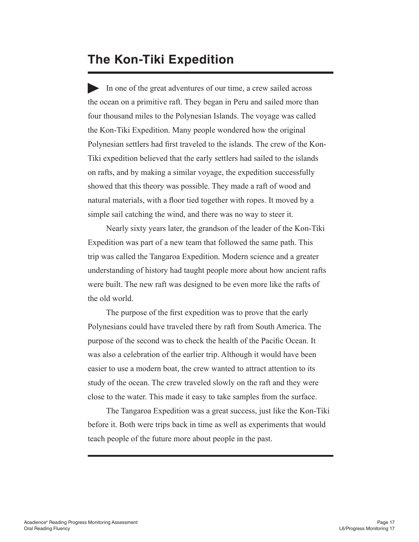#### **The Kon-Tiki Expedition**

In one of the great adventures of our time, a crew sailed across the ocean on a primitive raft. They began in Peru and sailed more than four thousand miles to the Polynesian Islands. The voyage was called the Kon-Tiki Expedition. Many people wondered how the original Polynesian settlers had first traveled to the islands. The crew of the Kon-Tiki expedition believed that the early settlers had sailed to the islands on rafts, and by making a similar voyage, the expedition successfully showed that this theory was possible. They made a raft of wood and natural materials, with a floor tied together with ropes. It moved by a simple sail catching the wind, and there was no way to steer it.

Nearly sixty years later, the grandson of the leader of the Kon-Tiki Expedition was part of a new team that followed the same path. This trip was called the Tangaroa Expedition. Modern science and a greater understanding of history had taught people more about how ancient rafts were built. The new raft was designed to be even more like the rafts of the old world.

The purpose of the first expedition was to prove that the early Polynesians could have traveled there by raft from South America. The purpose of the second was to check the health of the Pacific Ocean. It was also a celebration of the earlier trip. Although it would have been easier to use a modern boat, the crew wanted to attract attention to its study of the ocean. The crew traveled slowly on the raft and they were close to the water. This made it easy to take samples from the surface.

The Tangaroa Expedition was a great success, just like the Kon-Tiki before it. Both were trips back in time as well as experiments that would teach people of the future more about people in the past.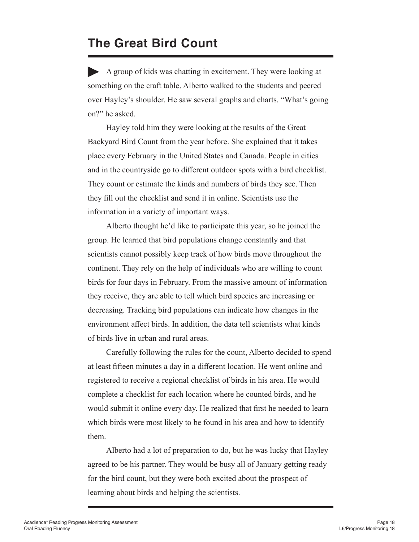#### **The Great Bird Count**

A group of kids was chatting in excitement. They were looking at something on the craft table. Alberto walked to the students and peered over Hayley's shoulder. He saw several graphs and charts. "What's going on?" he asked.

Hayley told him they were looking at the results of the Great Backyard Bird Count from the year before. She explained that it takes place every February in the United States and Canada. People in cities and in the countryside go to different outdoor spots with a bird checklist. They count or estimate the kinds and numbers of birds they see. Then they fill out the checklist and send it in online. Scientists use the information in a variety of important ways.

Alberto thought he'd like to participate this year, so he joined the group. He learned that bird populations change constantly and that scientists cannot possibly keep track of how birds move throughout the continent. They rely on the help of individuals who are willing to count birds for four days in February. From the massive amount of information they receive, they are able to tell which bird species are increasing or decreasing. Tracking bird populations can indicate how changes in the environment affect birds. In addition, the data tell scientists what kinds of birds live in urban and rural areas.

Carefully following the rules for the count, Alberto decided to spend at least fifteen minutes a day in a different location. He went online and registered to receive a regional checklist of birds in his area. He would complete a checklist for each location where he counted birds, and he would submit it online every day. He realized that first he needed to learn which birds were most likely to be found in his area and how to identify them.

Alberto had a lot of preparation to do, but he was lucky that Hayley agreed to be his partner. They would be busy all of January getting ready for the bird count, but they were both excited about the prospect of learning about birds and helping the scientists.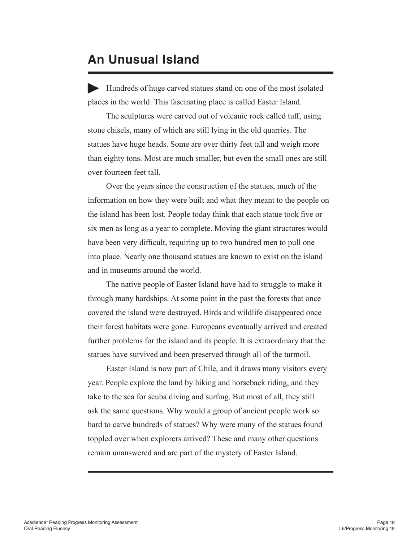#### **An Unusual Island**

Hundreds of huge carved statues stand on one of the most isolated places in the world. This fascinating place is called Easter Island.

The sculptures were carved out of volcanic rock called tuff, using stone chisels, many of which are still lying in the old quarries. The statues have huge heads. Some are over thirty feet tall and weigh more than eighty tons. Most are much smaller, but even the small ones are still over fourteen feet tall.

Over the years since the construction of the statues, much of the information on how they were built and what they meant to the people on the island has been lost. People today think that each statue took five or six men as long as a year to complete. Moving the giant structures would have been very difficult, requiring up to two hundred men to pull one into place. Nearly one thousand statues are known to exist on the island and in museums around the world.

The native people of Easter Island have had to struggle to make it through many hardships. At some point in the past the forests that once covered the island were destroyed. Birds and wildlife disappeared once their forest habitats were gone. Europeans eventually arrived and created further problems for the island and its people. It is extraordinary that the statues have survived and been preserved through all of the turmoil.

Easter Island is now part of Chile, and it draws many visitors every year. People explore the land by hiking and horseback riding, and they take to the sea for scuba diving and surfing. But most of all, they still ask the same questions. Why would a group of ancient people work so hard to carve hundreds of statues? Why were many of the statues found toppled over when explorers arrived? These and many other questions remain unanswered and are part of the mystery of Easter Island.